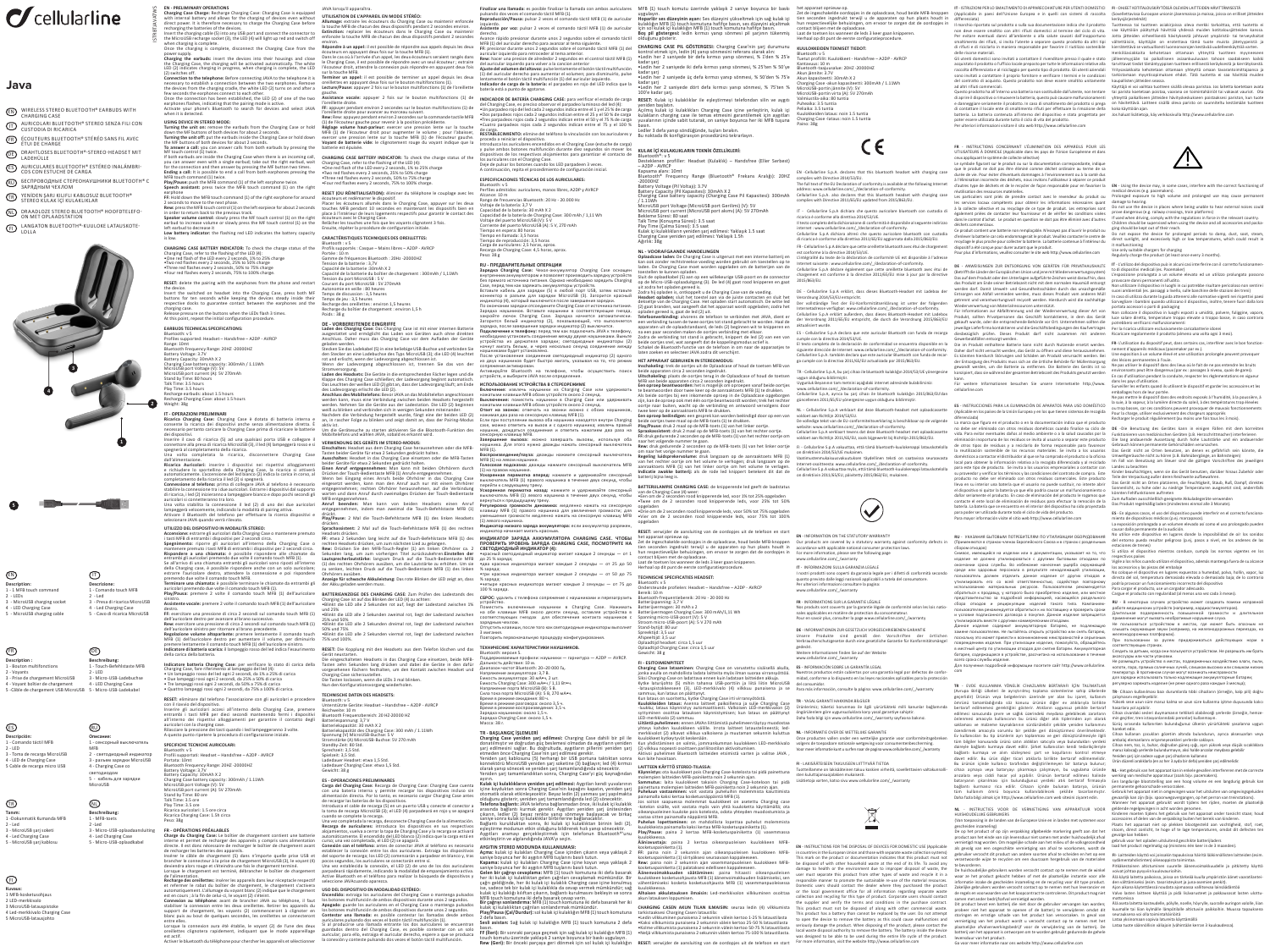# *C*cellularline

ISTRBTJAVATWS

## **Java**

EN WIRELESS STEREO BLUETOOTH® EARBUDS WITH

- **IT** AURICOLARI BLUETOOTH® STEREO SENZA FILI CON<br>CUSTODIA DI RICARICA
- ER ECOUTEURS BLUETOOTH® STEREO SANS FIL AVEC<br>ÉTUI DE CHARGE
- DE DRAHTLOSES BLUETOOTH®-STEREO-HEADSET MIT
- ES AURICULARES BLUETOOTH® ESTEREO INALAMBRI-<br>COS CON ESTUCHE DE CARGA
- RU БЕСПРОВОДНЫЕ СТЕРЕОНАУШНИКИ BLUETOOTH® С<br>ЗАРЯДНЫМ ЧЕХЛОМ
- TR) YENIDEN ŞARJ KILIFLI KABLOSUZ BLUETOOTH®<br>STEREO KULAK İÇİ KULAKLIKLAR
- NU DRAADLOZE STEREO BLUETOOTH® HOOFDTELEFO-<br>ON MET OPLAADSTATION
- ED LANGATON BLUETOOTH®-KUULOKE LATAUSKOTE-

**2**





EN - PRELIMINANY OPERATIONS<br>
Charging Case Charge Charging Case: Charging Case is equipped<br>
cuth micromal battery and allows for the charging of devices eero without<br>
recharging the batteries of the devices.<br>
Insert the ch when charging is complete. Once the charging is complete, disconnect the Charging Case from the

power supply.<br>**Charging the earbuds:** insert the devices into their housings and close<br>the Charging Case, the charging will be activated automatically. The white<br>LED (2) indicates charging in progress, when charging is com (2) switches off.<br>Connection to the telephone: Before connecting JAVA to the telephone it is<br>Connection to the telephone: Representative only expressions. Remove<br>the telescore of the dependence of the connection of the con

USING DEVICE IN STEREO MODE:<br>Turning the unit on: remove the earbuds from the Charging Case or hold<br>down the MF buttons of both devices for about 2 seconds.<br>Turning the unit off: put the earbuds inside the Charging Case or

MF couch control (1) twice.<br>The fouch control of the Charging Case when there is an incoming call,<br>you can answer even with a single earbud; take out the right earbud, wait<br>for the connection and then answer by pressing th

earphone<br>Tarentoul down the MFB touch command (1) of the right earphone for around<br>2 seconds to move to the next phase.<br>**Rew**: press the MFB touch control (1) on the left earpiece for about 2 seconds<br>**Rew:** press the MFB t

**UTILIZZO DEL DISPOSITIVO IN MODALITÀ STEREO: Accensione:** estrarre gli auricolari dalla Charging Case o mantenere premuto i tasti MFB di entrambi i dispositivi per 2 secondi circa. **Spegnimento:** riporre gli auricolari all'interno della Charging Case o mantenere premuto i tasti MFB di entrambi i dispositivi per 2 secondi circa. **Rispondere a una chiamata:** è possibile rispondere alle chiamate da entrambi gli auricolari premendo due volte il comando touch MFB (1). Se all'arrivo di una chiamata entrambi gli auricolari sono riposti all'interno della Charging case, è possibile rispondere anche con un solo auricolare; estrarre l'auricolare destro, attendere la connessione e poi rispondere premendo due volte il comando touch MFB. **Terminare una chiamata:** è possibile terminare le chiamate da entrambi gli auricolari premendo due volte il comando touch MFB (1). **Play/Pausa:** premere 2 volte il comando touch MFB (1) dell'auricolare sinistro. **BATTERIEANZEIGE DES CHARGING CASE:** Zum Prüfen des Ladestands des Charging Case ist auf das Blinken der LED (4) zu achten: Rew. Drücken Sie den MFB-Touch-Regier (1) am linken Ohrhörer ca.<br>2 Sekunden lang, um zum vorherigen Titel zurückzukehren.Einstellen der<br>Lautsprecherlautstärke: langsam Druck auf die Touch-Bedientate MFB<br>(1) des rechten Ohr

**Low battery indicator:** the flashing red LED indicates the battery capacity is low.

CHARGING CASE BATTERY INDICATOR: To check the charge status of the<br>Charging Case, refer to the flashing of the LED (4):<br>•One red flash of the LED every 2 seconds, 1% to 25% charge<br>•Two red flashes every 2 seconds, 25% to 5

**RESET:** delete the pairing with the earphones from the phone and restart the device. Insert the switched on headset into the Charging Case, press both MF buttons for ten seconds while keeping the devices steady inside their respective docks to guarantee contact between the earphones and the

charging case. Release pressure on the buttons when the LEDs flash 3 times. At this point, repeat the initial configuration procedure. **EARBUDS TECHNICAL SPECIFICATIONS:**

# Bluetooth: v 5

Profiles supported: Headset – Handsfree – AZDP - AVRCP<br>Range: JOHT<br>Range: Dimt<br>Batterool: Frequency Range: 2012-20000HZ<br>Battery Capacity: 30mAh X 2.<br>Battery Capacity: 30mAh X 2.<br>MicroUSB port Current (A): 5V<br>MicroUSB port

automatiquement. L'allumage du voyant l'a) ici jurique que le chargement<br>est en cours ; à la fin de celui-ci, le voyant (2) s'éteint.<br>**Connexión au téléphone**: avant de brancher JAVA au téléphone, il faut<br>stabiliser la con entre elles.

EN - INFORMATION ON THE STATUTORY WARRANTY<br>Our products are covered by a statutory warranty<br>accordance with applicable national consumer prote For more information, please see the following page www.cellularline.com/\_/warranty

**Assistente vocale:** premere 2 volte il comando touch MFB (1) dell'auricolare

destro.<br>The secretare una pressione di circa 2 secondi sul comando touch MFB (1)<br>dell'autricolare destro per avanzare al brano successivo.<br>**Rew:** esercitare una pressione di circa 2 secondi sul comando touch MFB (1)<br>Rew: e

premere lentamente il comando touch<br>I**ndicatore di batteria scarica:** il lampeg<br>della carica della batteria.

Indicatore batteria Charging Case: per verificare lo stato di carica della<br>Charging Case, fare riferimento al lampeggio del led (4):<br>• Un lampeggio rosso del led ogni 2 secondi, da 15% a 50% di carica<br>• Tue lampeggi rossi

**REST:** eliminare dal telefono l'associazione con gli auricolari e procedere<br>con il riavvio del dispositivo.<br>Inseriere gli auricolari accesi all'intenno della Charging Case, premere<br>entrambi i tasti MFB per dieci secondi m

SPECIFICHE TECNICHE AURICOLARI:<br>Silentooth: v 5<br>Portial supportati: Headset – Handsfree – A2DP - AVRCP<br>Portial: 10min<br>Portial: 10min<br>Portial: 10min<br>Portial: 10min<br>Battery Uchape: 2012<br>Battery Capacity: 30mah X<br>2<br>Ratery Cap

gauche. **Assistance vocale:** appuyer 2 fois sur le bouton multifonctions (1) de l'oreillette droite. **FF:** appuyer pendant environ 2 secondes sur le bouton multifonctions (1) de l'orellette droite pour avancer au morceau suivant.<br>Rew: Rew: elevation pour avancer au morceau sur la commande tactile MFB<br>(1) de l'écouteur gauche pour revenir à la position précédente.<br>Réglage volume haut-parleur: exerc

Charleline Case, BaTTERY INDICATOR: To check the charge status of the<br>Charging Case, refer to the flashing of the LED (4):<br>•One red flash of the LED every 2 seconds, 1% to 25% charge<br>•Two red flashes every 2 seconds, 25% t

**RESET (OU REINITALISATION):** eliminer du téléphone le couplage avec les<br>écouteurs et redémarrer le dispositif.<br>Placer les écouteurs allumés dans le Charging Case, appuyer sur les deux<br>cluches MFB pendant 10 secondes en ma

CARACTERISTIQUES TECHNIQUES DES OREILLETTES:<br>ENGENCIA INSTRUES : Casque — Mains libres — A2DP - AVRCP<br>Portée : 10 m<br>Portée : 10 m<br>Portée : 10 m<br>Tension de la batterie : 3,7<br>Mains de la batterie : 3,7<br>Capacité de la battere

**Recharge des oreillettes:** insérer les appareils dans leur réceptacle respectif et refermer le rabat du boîtier de chargement, le chargement s'activera

Lorsque la connexion aura été établie, le voyant (2) de l'une des deux oreillettes clignotera rapidement, indiquant que le mode appareillage est actif. Activer le bluetooth du téléphone pour chercher les appareils et sélectionner

JAVA lorsquil apparaitra.<br>**All'Instance de la concerna del concernator de la concernator de la concernator de la concernator de la concer<br>la touche MFB de chacun des deux dispositifs pendant 2 secondes environ.<br>Extinction:** 

environ.<br>Répondre à un appel: il est possible de répondre aux appels depuis les deux<br>écouteurs en appuyant deux fois sur la touche MFB (1).<br>Dans le cas où à l'arrivée d'un appel, les deux écouteurs seraient rangés dans<br>le

sur la touche MFB.<br>**Terminer un appel**: il est possible de terminer un appel depuis les deux<br>oreillettes en appuyant deux fois sur le bouton multifonctions (1).<br>**Lecture/Pause:** appuyer 2 fois sur le bouton multifonctions

**EN** - INFORMATION ON THE STATUTORY WARRANTY Our products are covered by a statutory warranty against conformity defects in

IT - INFORMAZIONI SULLA GARANZIA LEGALE<br>I nostri prodotti sono coperti da garanzia legale per i difetti di conformità secondo<br>quanto previsto dalle leggi nazionali applicabili a tutela del consumatore.<br>Per ulteriori inform

FR - INFORMATIONS SUR LA GARANTIE LEGALE<br>Nos produits sont couverts par la garantie légale de conformité selon les lois natio-<br>nales applicables en matière de protection du consommateur.<br>Pour en savoir plus, consulter la p

**DE** - INFORMATIONEN ZUR GESETZLICH VORGESCHRIEBENEN GARANTIE<br>Unsere Produkte sind gemäß den <sup>7</sup><br>Verbraucherschutzgesetze durch eine gesetzliche Garantie für Konformitätsmängel

www.cellularline.com/\_/warranty<br>**ES** - INFORMACIÓN SOBRE LA GARANTÍA LEGAL<br>Nuestros productos están cubiertos por una garantía legal por defectos de confor-

DE - VORBEREITENDE EINGRIFFE<br>Laden des Charging Case: Das Charging Case ist mit einer internen Batterie<br>Auden des Charging Case: Das Charging Case vor dem Aufladen der Geräte<br>Anadiaux - Daher muss das Charging Case vor dem **RU - ПРЕДВАРИТЕЛЬНЫЕ ОПЕРАЦИИ Зарядка Charging Case:** Чехол-аккумулятор Charging Case оснащен внутренним аккумулятором и позволяет производить зарядку устройств без прямого источника питания. Однако необходимо зарядить Charging Case, перед тем как заряжать аккумуляторы устройств. Вставьте кабель для зарядки (5) в любой порт USB, затем вставьте коннектор в разъем для зарядки MicroUSB (3). Загорится красный индикатор (4), который выключится после завершения зарядки. По окончании зарядки отсоедините Charging Case от источника питания. Зарядка наушников. Вставьте наушники в соответствующие гнезда, закройте лючок Charging Case. Зарядка начнется автоматически. Загорится белый индикатор (2), показывающий, что выполняется зарядка, после завершения зарядки индикатор (2) выключится. **Подключение к телефону:** перед тем как подключить JAVA к телефону, необходимо установить соединение между двумя наушниками. Выньте устройства из держателя зарядки; светодиодные индикаторы (2) начнут мигать белым, и через несколько секунд соединение между наушниками будет установлено. После установления соединения светодиодный индикатор (2) одного из двух наушников будет быстро мигать, указывая на то, что режим

сопремения активирован.<br>Китаниуйте Вивсовой на телефоне, чтобы осуществить поиск<br>ИСПОЛЬЗОВАНИЕ УСТРОЙСТВА В СТЕРСОРЕЖИМЕ<br>ИСПОЛЬЗОВАНИЕ УСТРОЙСТВА В СТЕРСОРЕЖИМЕ<br>ВЫПОЛЬЗОВАНИЕ УСТРОЙСТВА В СТЕРСОРЕЖИМЕ<br>ВЫПОЛЬЗОВАНИЕ УСТРОЙ

rot und erlischt, wenn der ladetorgang abgeschlossen ist.<br>
tremen der Ladetorgang abgeschlossen ist, tremen Sie das von der<br>
stremen der Ladetorgang abgeschlossen ist, tremen Sie das von der<br>
strepne der ladetorgang elisch

Recharge des oreillettes : environ 1,5 heures Recharge du boîtier de chargement : environ 1,5 h Poids : 38 g

Bluetooth®: v 5 Desteklenen profiller: Headset (Kulaklık) – Handsfree (Eller Serbest) – A2DP - AVRCP Kapsama alanı: 10mt Bluetooth® Frequency Range (Bluetooth® Frekans Aralığı): 20HZ -20000HZ Battery Voltage (Pil Voltajı): 3.7V<br>Battery Capacity (Pil Kapasitesi): 30mAh X 2<br>Charging Case battery capacity (Charging Case Pil Kapasitesi): 300mAh<br>/ 1.11Wh .11Wn<br>croUSB port Voltage (MicroUSB port Gerilimi) (V): 5V<br>croUSB port current (MicroUSB port akımı) (A): 5V 270mAh MicroUSB port current (MicroUSB port akımı) (A): 5V 270mAh<br>Bekleme Süresi: 80 saat<br>Talk Time (Konuşma Süresi): 3.5 saat<br>Play Time (Çalma Süresi): 3.5 saat<br>Kulak içi kulaklıkların yeniden şarj edilmesi: Yaklaşık 1.5 saat<br>Ch

**NL - VOORAFGAANDE HANDELINGEN**<br>**Oplaadcase laden:** De Charging Case is uitgerust met een interne batterij en<br>kan ook zonder rechtstreekse voeding worden gebruikt om toestellen op te<br>laden. De Charging Case moet worden opg

toestellen te kunnen oplaach.<br>Suit de oplaadkabel (5) aan op een willekeurige USB-poort en de connector<br>Suit de oplaadkabel (5) aan op een willekeurige USB-poort en de connector<br>Suit de oplaadkabel (5) aan op een val de lo

Inschalaelign: trek de oorlige suid-de Oplaadcase of houd de toetsen MFB van<br>Beelde apparaten circa 2 seconden ingedrukt.<br>
Chicaleaelign: plaast de oorlige terug in de Oplaadcase of houd de toetsen<br>
EFR on meet be apparate

**BATTERILAMPIE CHARGING CASE:** de knipperende led geeft de laadstatus<br>van de Charging Case (4) weer:<br>«Een om de 2 seconden rood knipperende led, voor 15% tot 25% opgeladen<br>«Twee om de 2 seconden rood knipperende leds, voor

**RESET:** verwijder de aansluiting van de oordopjes uit de telefoon en start<br>het apparaat opnieuw op.<br>Zet de ingeschakelde oordopjes in de oplaadcase, houd beide MFB-knoppen tien seconden ingedrukt terwijl u de apparaten op hun plaats houdt in<br>hun respectievelijke behuizingen, om ervoor te zorgen dat de oordopjes in<br>contact blijven met de oplaadcase.<br>Laat de toetsen los wanneer de leds 3 keer

Fi-ES**ITOMENPITEET**<br>Ch**arging Case lataminen**: Charging Case on varustettu sisäisellä akulla,<br>Soling avulla on mahdollista laidata laittelia myös liman suoraa virransyöttöä.<br>Suori Charging Coo Chi mihiti talennen isää aadr

Kun lataus on suoritettu, kytee Charging Case itti virransyötöstä.<br>Kuulokkeiden lataus: Asenna laitteet paikoillensa ja sulje Charging Case<br>-luukku; lataus Kaynnistyy automaattisesti. Vaikoisen LED-merkkivalon (2)<br>sytytymi

LAITTEEN KÄYTTÖ STEREO-TILASSA:<br>
Mäytmistys: ota kuulokkeet pois Charging Case-kotelosta tai pidä painettuna<br>
moinempie läitteiden MFB-painiettä noin 2 sekunnin äjän<br>
Sammutus: laita kuulokkeet takaisin Charging Case-kotel

koskeuspainiketä (1) siirtyksesi seuraavaan kappaleesen.<br>Keevi spänä noin 2 sekunnin ajan vasemmanpuoleisen kuulokkeen MFB-koskeuspainiketä (1) palataksesi edellisen kappaleeseen.<br>Kämenvolmakkuuden – säätäminen: – paina –

CHARGING CASEN AKUN TILAN LIMAISIN: seuraa ledin (4) viikkumista<br>tarkistaaksesi Charging Casen lataustila:<br>• Ledin viikkuminen punaisena 2 sekunnin välein kertoo 1-25 % lataustilasta<br>• Kaksi viikkumista punaisena 2 sekunni

|                                                                      | Charging Case ist auf das Blinken der LED (4) zu achten:                                   |  |
|----------------------------------------------------------------------|--------------------------------------------------------------------------------------------|--|
|                                                                      | .Blinkt die LED alle 2 Sekunden rot auf, liegt der Ladestand zwischen 1%<br>und 25%        |  |
|                                                                      | .Blinkt die LED alle 2 Sekunden zweimal rot, liegt der Ladestand zwischen<br>25% und 50%   |  |
|                                                                      | .Blinkt die LED alle 2 Sekunden dreimal rot, liegt der Ladestand zwischen<br>50% und 75%   |  |
|                                                                      | .Blinkt die LED alle 2 Sekunden viermal rot, liegt der Ladestand zwischen<br>75% und 100%. |  |
| RESET: Die Kopplung mit den Headsets aus dem Telefon löschen und das |                                                                                            |  |
|                                                                      | Gerät neustarten.                                                                          |  |
|                                                                      | Die eingeschalteten Headsets in das Charging Case einsetzen, beide MFB-                    |  |
|                                                                      |                                                                                            |  |

Die eingeschalteten Headsets in das Charging Case einsetzen, beide MFB-<br>Tasten zehn Sekunden lang drücken und dabei die Geräte in den dafür<br>Vorgesehenen Fächern festhalten, um den Kontakt zwischen Headset und<br>Die Tasten lo

TECHNISCHE DATEN DES HEADSETS:<br>Eleitototh: v 5<br>Uniterstütte Grafae: Headset – Handsfree – A2DP - AVRCP<br>Reichweite: G10<br>Reichweite: 10 m<br>Bitterdespanitures - 20 H2-20000 H2<br>Batterdespanitures - 37 V<br>Batterdespanitures - 20

لناد درب<br>Ladedauer Headset: etwa 1,5 Std.<br>Ladedauer Charging Case: etwa 1,5 Std.<br>Gewicht: 38 g

ES - OPERACIONES PRELIMINAARES<br>
Carga del Charging Case: Recarga de Charging Case: Charging Case centa<br>
com una babria interna y permier recarga de Charging Case centa<br>
com una babria internació de la centa de Charging Cas

USO DEL DISPOSITIVO EM MODALIDAD ESTÉREO:<br>Che constanta del Charging Case o mantenga pulsados<br>Costo Los anticluares del Charging Case o mantenga pulsados<br>Apagado: guarde los auriculares en el Charging Case o mantenga puls

**Finalizar una llamada:** es posible finalizar la llamada con ambos auriculares<br>pulsando dos veces el comando táctil MFB (1).<br>Teopodución/Pausa: pulsar 2 veces el comando táctil MFB (1) de auricular<br>l'aquierdo.<br>Caracter po auricular izquierdo para retroceder al tema anterior.<br>Rew: hacer una presion de alrededor 2 segundos en el control táctil MFB (1)<br>Rew: hacer una presion de alrededor 2 segundos en el control táctil multifunción<br>Ajuste del

**INDICADOR DE BATERIA CHARGINE CASE:** para verifícar el estado de carga<br>del Charging Case, es preciso observar el parpadeo luminoso del eld (4):<br><sup>41</sup> parpadeo rojo del led cada 2 segundos indican entre el 25 y el 50 % de CHARGING CASE PIL GOSTERGESI: Charging Case'nin şari durumunu<br>Kontrol etmek için, ledin (4) yanıp sönmesini referans olarak alın:<br>"Ledin her 2 saniyede bir defa kırmızı yanıp sönmesi, % 12'den % 25'den<br>"Ledin her 2 saniyed

MFB (1) touch komutu üzerinde yaklaşık 2 saniye boyunca bir baskı<br>Viygulayın. sa düzeyinin ayarı: Sas düzeyini yükseltmek için sağ kulak içi<br>Koparlor adı Büzeyinin ayarı: Sas düzeyini yükseltmek için sağ kulak içi<br>İdon Gir

EN -Cellularline S.p.A. declares that this bluetooth headset with charging case Environment Signal and Complete with Directive 2014/53/EU.<br>
Complies with Directive 2014/53/EU.<br>
The full text of the EU Declaration of conformity is available at the formation and and all the state and all and all and all The full text of the EU Declaration of conformity is available at the following Internet<br>address: www.cellularline.com/\_/declaration-of-conformity.<br>Cellularline S.p.A. also declares that this bluetooth headset with chargin

 $\epsilon$ 

het apparaat opnieuw op.<br>Cet de ingeschakelde oordopjes in de oplaadcase, houd beide MFB-knoppen<br>Cet de ingeschakelde oordopjes in evoor te zorgen dat de zordopjes in<br>contact blijven met de oplaadcase.<br>Contact blijven met

DE - Cellularline S.p.A erklärt, dass dieses Bluetooth-Headset mit Ladebox der Verordnung 2014/53/EU entspricht. Der vollständige Text der EU-Konformitätserklärung ist unter der folgenden Internetadresse verfügbar: www.cellularline.com/\_/declaration-of-conformity.<br>Cellularline S.p.A erklärt außerdem, dass dieses Bluetooth-Headset mit Ladebox<br>der Verordnung 2011/65/EU entspricht, die durch die Verordnung 201 aktualisiert wurde. ES - Cellularline S.p.A declara que este auricular Bluetooth con funda de recarga cumple con la directiva 2014/53/UE.<br>El texto completo de la declaración de conformidad se encuentra disponible en la<br>siguiente dirección de Internet: www.cellularline.com/\_/declaration-of-conformity.<br>Cellularline S.p.A. ta

TR-Cellularline S.p.A, ayısayı çihazı ile bluetooth kulaklığın 2014/53/UE yönergesine<br>Uygunluk Beyanının tam metnini aşağıdaki internet adresinde bulabilirsiniz:<br>Uygunluk Beyanının tam metnini aşağıdaki internet adresinde

NL - Cellulariine S.p.A verklaart dat deze Bluetooth-headset met oplaadcassette<br>ovlodet aan Richtlijn 2014/53/EU.<br>De voldedige tekst van de EU-conformitetisverklainig is beschikbaar op de volgende<br>verbsite: www.cellulariin

Fi - Cellularline S.p.A vakuuttaa, että tämä bluetooth-kuulokenappi latauskotelolla<br>Vaatimustenmukaisuusvakuutuksen täydellinen teksti on saatavissa seuraavasta<br>Vaatimustenmukaisuusvakuutuksen täydellinen teksti on saatavi

Carga de auriculares: 2,5 horas, aprox. Recarga de Charging Case: 4,5 horas, aprox.

Peso: 38 g

поскольку это может привести к возникновению неисправностей и серьезным повреждениям изделия. При утилизации изделия, пожалуйста, обращайтесь в местный центр по утилизации отходов для снятия батареи. Аккумуляторная<br>батарея, содержащаяся в устройстве, рассчитана на использование в течение<br>всего срока службы изделия.<br>Для получения подробной информации посетите ca

.<br>5 - кабель для зарядки MicroUSB

**Beschreibung:**<br>1 - MFB-toets<br>2 -Led

I**T - OPERAZIONI PRELIMINARI**<br>Ricarica Charging Case: Charging Case è dotata di batteria interna e<br>consente la ricarica dei dispositivi anche senza alimentazione diretta. È<br>necessario pertanto caricare la Charging Case pri

dei dispositivi.<br>Inserire il cavo di ricarica (5) ad una qualsiasi porta USB e collegare il<br>connettore alla presa di ricarica MicroUSB (3), il led (4) lampeggerà rosso e si<br>spegnerà al completata la ricarica, disconn

dall'alimentazione.<br>Elicalimentazione.<br>Ricarica Auricolari: inserire i dispositivi nei rispettivi alloggiamenti<br>automaticamente. L'accensione delle di bianco (2) indica la carica si attiverà<br>automaticamente. L'accensione d

iampeggerà velocemente, indicando la modalità di pairing attiva.<br>Attivare il Bluetooth del telefono per effettuare la ricerca dispositivi e<br>selezionare JAVA quando verrà rilevato.<br>UTILIZZO DEL DISPOSITIVO IN MODALITÀ STERE

| Description:                 | Descrizione:                   |
|------------------------------|--------------------------------|
| 1 - 1 MFB touch command      | 1 - Comando touch MEB          |
| $2 - 1$ FDs                  | $2 -$ led                      |
| 3 - MicroUSB charging socket | 3 - Presa di ricarica MicroUSI |
| 4 - LED Charging Case        | 4 - Led Charging Case          |
| 5 - MicroUSB charging cable  | 5 - Cavo di ricarica MicroUSB  |

TR - EVDE KULLANIMA YÖNELIK CIHAZLARIN BERTARAFI (CIN TALIMATLAR PERYARPAD ADAR MATA DESTRESS TONEAR PERSPEKTI<br>(Avrupa Birliği ülkeleri ile ayrıştırılmış toplama sistemlerine sahip ülkelerde TR-Cihazın kullanılması bazı du bağlarık kurmaya ve alım sözleşmesi şart ve koşullarını kontrol etmeye dayat kurmaya ve aları dayat edilir. Bu ürün diğer ictari atıklarla birlik bertaraf edilirmemlelir.<br>İchazı açmışa veya bataryarı çıkarmaya çalışmayın, Daha fazla bilgi almak için http://www.cellularline.com web sitesini ziyaret edin.

TR NL **Tanım:** 1 -Dokunmatik Kumanda MFB 2 - Led 3 - MicroUSB şarj soketi 4 - Led Charging Case

**FR. OPERATIONS PRÉALABLES**<br>Charge du Charging Case: Le böltier de chargement contient une batterie<br>interne et permet de recharger des appareils y compris sans alimentation<br>directe. Il est donc nécessaire de recharger le b 3 - Micro-USB-oplaadaansluiting 4 - Led Charging Case 5 - Micro-USB-oplaadkabel

**KULAK İÇİ KULAKLIKLARIN TEKNİK ÖZELLİKLERİ:** 

Introduzca los auriculares encendidos en el Charging Case (estuche de carga)<br>y pulse ambos botones multifunción durante diez segundos sin mover los<br>dispositivos de los respectivos alojamientos para garantizar el contacto d

СВЕТОДИОДНЫЙ ИНДИКАТОР (4):<br>«красный светодиодный индикатор митает каждые 2 секунды — от 1<br>«даз красных индикатора мигают каждые 2 секунды — от 25 до 50<br>«заяряд»;<br>«три красных индикатора мигают каждые 2 секунды — от 50 д

100 % заряда.<br>СБРОС: удалить с телефона сопряжение с наушниками и перезагрузить<br>Поместить - включенные - наушники - в - Charging - Саяе. - Нажимать<br>Поместить - включенные - наушники - в - Сharging - Саяе - Макимать<br>Помест

**ТЕХНИЧЕСКИЕ ХАРАКТЕРИСТИКИ НАУШНИКОВ.**<br>Bluetooth: версия 5.<br>Поддерживаемые профили: наушники — гарнитура — A2DP — AVRCP. luetooth: версия 5.<br>loддерживаемые профили: наушники — гарнитура — A2DP — AVRCP.<br>lальность действия: 10 м.<br>lиапазон частот Bluetooth: 20–20 000 Гц.

TR- ABŞLANGIÇ İŞLEMIERI<br>
TR- ABŞLANGIÇ İŞLEMIERI<br>
Yarıştığı Case dahili bir pil ile<br>
donatilmıştır ve doğrudan güç besilemesi olmadan da aygıltanın yeniden şar<br>
şarj edilmesini sağlar. Bu doğrudan güç besilemesi gerekir.<br>

**Açma:** kulak içi kulakları Charging Case içinden çıkarın veya yaklaşık 2<br>saniye boyunca her iki aygıtın MFB tuşlarını basılı tutun.

Kapama: kulak içi kulakları Charging Case içine koyun veya yaklaşık 2<br>saniye boyunca her iki aygıtın MFB tuşlarını basılı tutun.<br>Gelen bir çağrıyı cevaplama: MFB (1) touch komutuna iki defa basarak<br>her iki kulak içi kulakl

**Sesli asistan:** Sağ kulak içi kulaklığın MFB (1) touch komutuna 2 defa<br>basın. **FF (Ileri):** Bir sonraki parçaya geçmek için sağ kulak içi kulaklığın MFB (1)<br>touch komutu üzerinde yaklaşık 2 saniye boyunca bir baskı uygulayın.<br>**Rew (Geri):** Bir önceki parçaya geri dönmek için sol kulak içi kulaklığın

Диапазон частот Bluetooth: 20–20 000 Гц.<br>Напряжение аккумулятора: 3,7 В.<br>Емкость «haryphyratopa: 30 мА+ч, 2 шт.<br>Емкость «haryphyratopa: 30 мА+ч, 1 1,11 Вт+ч.<br>Напряжение порта MicroUSB (B,1:5 Б, 270 мА+ч.<br>Сила тока порта M

**ESPICIFICACIONES TECNICAS DE LOS AURICULARES:<br>Perficies amitides: auriculares, mano silbres, AZDP y AVRCP<br>Alcance: 10 m<br>Alcance: 10 m<br>Alcance: 10 m<br>Alcance: 10 m<br>Voltage de frecuencias Sluetooth: 20 Hz - 20.000 Hz<br>Capacid** 

ll marchio riportato sul prodotto o sulla sua documentazione indica che il prodotto — Tuotteessa -tai -tuotteen asiakirjoissa -oleva -merkki -tarkoittaa, että -tuotetta -eisaa käyttöiän päätyttyä hävittää yhdessä muiden kotitalousjätteiden kanssa. Jotta jätteiden virheellisestä hävityksestä johtuvat ympäristö- tai terveyshaitat vältettäisiin, käyttäjän on erotettava tämä tuote muista jätetyypeistä ja kierrätettävä se vastuullisesti luonnonvarojen kestävää uudelleenkäyttöä varten.

Henkilöasiakkaita kehotetaan ottamaan yhteyttä Luotteen myyneeseen<br>tarvittavat liedot tämäntyyppisen tuotteen erillisestä keräyksestä ja kienrätyksestä.<br>tarvittavat liedot tämäntyyppisen tuotteen erillisestä keräyksestä ja

Käyttäjä ei voi vaihtaa tuotteen sisällä olevaa paristoa. Jos laitetta koetetaan avata<br>tai paristo koetetaan poistaa, vaarana on toimintahäiriöt tai vakavat vauriot. Ota<br>yhteyttä paikalliseen jätteiden hävityskeskukseen po



**EN** - Laing the device may, in some cases, interfere with the correct functioning of<br>medical devices (e.g. pacemakers).<br>
Arendoted exposure to high volume and prolonged use may cause permanent<br>
damage to hearing.<br>
Admage

DE - ANWEISUNGEN ZUR ENTSORGUNG VON GERÄTEN FÜR PRIVATHAUSHALTE – IT-L'utilizzo del dispositivo può in alcuni casi interferire con il corretto funzionamen-<br>(Betrifftcie Länder der Europäischen Union und gene mit Wiederverw

Non utilizzare il dispositivo in luoghi in cui potrebbe risultare pericoloso non sentire i<br>suoni ambientali (es., passaggi a livello, sulle banchine delle stazioni dei treni)<br>fu caso di utilizzo durante la guida attenersi

FR-L'Unilisation du dispositif peut, dans certains cas, interférer avec le bon fonction-<br>nement d'ápparelis médicaux (pacemater par ex.).<br>Une exposition à un volume élevé et une utilisation prolongée peuvent provoquer<br>des

environnants peut cut cangereux (par ex . passages a mvea<br>
En cas d'utilisation pendant la conduite, respecter les règler<br>
dans les pays d'utilisation.<br>
Surveiller les enfants quand ils utilisent le dispositif et garde

Surveiller les enfants quand ils utilisent le dispositif et garder les accessoires et les<br>emballages hors de leur portée.<br>Ne pas mettre le dispositif dans des endroits exposés à l'humidité, à la poussière, à<br>la suie, à la

DE -Die Benutzung des Gerätes kann in einigen Fällen mit dem Funktionieren von medizinischen Geräten (z.B. Herzschrittmacher) interferieren<br>Die lang andauernde Aussetzung durch hohe Lautstärke und ein andauernder<br>Gebrauch können permanente Gehörschäden verursachen.<br>Das Gerät nicht a

Valvo lasten laitteen käyttöä ja pidä lisävarusteet ja pakkausosat lasten ulottumattomissa Älä aseta laitetta kosteudelle, põlylle, noelle, hövyylle, suoralle auringon valolle, liian<br>kuumalle tai liian kylmälle lämpötilalle altistuviin paikkoihin. Muussa tapauksena<br>seurauksena voi olla toimintahäiriöitä<br>Lataa vi

**Kuvaus:**<br>1 MFB-kosketusohjaus<br>2 LED-merkkivalo<br>3 MicroUSB-latauspistoke 4 Led-merkkivalo Charging Case 5 MicroUSB-latausjohto

**RESET:** verwijder de aansluiting van de oordopjes uit de telefoon en start

**TECHNISCHE SPECIFICATIES HEADSET:**<br>Bluetooth: v 5<br>Ondersteunde profielen: Headset – Handsfree – A2DP - AVRCP

Bereit: 10 m<br>Bluetooth-frequentiebereik: 20 Hz - 20 000 Hz<br>Batterijspanning: 3,7 mAh x 2<br>Batterijvermogen: 30 mAh x 2<br>Batterijvermogen: 30 mAh x 2<br>Spanning micro-USB-poort (V): 5 V<br>Spanning micro-USB-poort (V): 5 V<br>Spannin

2015/863/EU.

**EN**-INSTROUCTIONS FOR THE DISPOSAL OF DEVICES FOR DOMESTIC USE (Applicable) in contries in the European Union and those with separate waste collection system) (his control in this product or documentation indicates that t

**KUULOKKEIDEN TEKNISET TIEDOT:**

Bluetooth: v5<br>Tartetooth: v5<br>Tartetooth: v5<br>Sherbooth: Taguusalue: 20HZ -20000HZ<br>Bluetooth: Haajuusalue: 20HZ -20000HZ<br>Akun jänniste 3.7V<br>v5<br>Akun jänniste V: Sherbooth: 300mAh / 1.11Wh<br>Microlusa-portin jänniste V: 5V<br>20mAh

 $\Pi^-\circ$  Cellularine S.p.A dichiara che questo auricolare bluetooth con custodia di<br>ticarica è conforme alla direttiva 2014/53/UE.<br>Il testo completo della dichiarazione di conformità è disponibile al seguente indirizzo<br>tie

Internet suivante : www.cellularline.com/\_/declaration-of-conformity.<br>Cellularline S.p.A déclare également que cette oreillette bluetooth avec étui de<br>chargement est conforme à la directive 2011/65/EU mise à jour par la di

**IT** - ISTRUZIONI PER LO SMALTIMENTO DI APPARECCHIATURE PER UTENTI DOMESTICI (Applicabile in paesi dell'Unione Europea e in quelli con sistemi di raccolta differenziata)

non deve essere smaltito con altri rifiuti domestici al termine del ciclo di vita.<br>Per evitare eventuali danni all'ambiente o alla salute causati dall'inopportuno<br>smaltimento dei rifiuti, si invita l'utente a separare ques

delle risorse materiali.<br>Gili utenti domestici sono invitati a contattare il rivenditore presso il quale e stato<br>acquistato il prodotto of ufficio locale preposto per tutte le informazioni relative alla<br>raccolta differenzi

ad altri rifuti commerciali.<br>L'anti di questi proporta della controlata con interior di questi profite protentare di appre il dispositivo o innuovere la batteria questi pubblica di anno di profite di anno di profite di ann

**FR** - INSTRUCTIONS CONCERNANT L'ÉLIMINATION DES APPAREILS POUR LES UTILISATEURS À DOMICILE (Applicable dans les pays de l'Union Européenne et dans

ceux appliquant le système de collecte sélective)<br>Le symbole figurant sur le produit ou sur la documentation correspondante, indique<br>que le produit ne doit pas être éliminé comme déchet ordinaire au terme de sa<br>durée de vi

d'autres type de déchets et de le recycler de façon responsable pour en favoriser la<br>réutilisation des ressources matérielles.<br>Les particuliers sont princés de prendre constat avec le revendeur du produit ou<br>les services l

Das auf dem Produkt oder den Unterlagen aufgelührte Zeichen weist darauf hin, dass<br>das Produkt am Ende seiner Betriebszeit nicht mit dem normalen Hausmüll entsorgt Provocare danni permanenti all'udito.<br>Werden darfi. Damit

Wiederverwertung von Mateilierssourcen unterstütt.<br>The form informationen zur Abfalltrennung und der Wiederverwertung dieser Art von<br>Produkt, sollete Privatespressen das Geschäft kontaktieren, in dem das Gerät<br>gesluit wurd

gedeckt. Weitere Informationen finden Sie auf der Website

| (FR                                 | (DE)                       |
|-------------------------------------|----------------------------|
| Description:                        | Beschreibung:              |
| 1 - Bouton multifonctions           | 1 - Touch-Befehlstaste MFB |
| 2 - Vovants                         | $2 - IFD$                  |
| 3 - Prise de chargement MicroUSB    | 3 - Micro-USB-Ladebuchse   |
| 4 - Voyant boîtier de chargement    | 4 - LED Charging Case      |
| 5 -Câble de chargement USB MicroUSB | 5 - Micro-USB-Ladekabel    |

kann. Für weitere Informationen besuchen Sie unsere Internetseite http://www.

cellularline.com

Umweltgeräusche nicht zu hören (z.B. Bahnübergänge, an Bahnsteigen)

lm Fall von Benutzung am Steuer sind die gültigen Vorschriften des jeweiligen<br>Landes zu beachten<br>Kindes beaufsichtigen, wom sie das Gerät benutzen, darüber hinaus Zubehör oder<br>Teile der Verpackung außer deren Reichweite au

midad, conforme a lo dispuesto en las leyes nacionales aplicables para la protección

TR - YASAL GARANTİ HAKKINDA BiLGİLER<br>Ürünlerimiz; tüketici korunması ile ilgili yürürlükteki milli kanunlar bağlamında<br>öngörülenlere göre uygunsuzluklara karşı yasal garantiye sahiptir.<br>Daha fazla bilgi için www.cellularli

NL - INFORMATIE OVER DE WETTELIJKE GARANTIE<br>Onze producten vallen onder een wettelijke garantie voor conformiteitsgebreken<br>volgens de toepasbare nationale wetgeving voor consumentenbescherming.<br>Voor meer informatie kunt u

Tuotteillamme on lakisääteinen takuu koskien virheitä, sovellettavien valtakunnalli-<br>sten kuluttajansuojalakien mukaisesti.<br>Lisätietoja varten, katso sivu www.cellularline.com/\_/warranty

del consumidor.

**RU - УКАЗНИЙ БЫТОВЫМ ПОГРЕБИТЕЛЯМ ПО УТИЛИЗАЦИИ ОБОРУДОВАНИЯ**<br>Применяются в странах-членах Европейского Союза и в странах с раздельным<br>Символ, минеошийся на изделии или в документации, указывает на то, что<br>Символ, минеош

Para más información, consulte la página: www.cellularline.com/\_/warranty

**ES** - INSTRUCCIONES PARA LA ELIMINACIÓN DE APARATOS PARA USO DOMÉSTICO

(Aplicable en los países de la Unión Europea y en los que tienen sistemas de recogida

diferenciada)<br>La marca que figura en el producto o en la documentación indica que el producto<br>La marca que figura en el producto con residuos dométicos cuando fínalice su cloci de las<br>Vida. Para evitar eventuales daños al para este tipo de producto. Se invita a los usuarios empresariales a contactar on cariusta correctar por el est<br>su proveedor y verificar los terminos y las condiciones del contrato de compra. Este Kinder breadisthigen, wen

miento de dispositivos médicos (p.ej. marcapasos). La exposición prolongada a un volumen elevado así como el uso prolongado pueden causar daño permanente de la audición.

No utilice este dispositivo en lugares donde la imposibilidad de oír los sonidos del entorno pueda resultar peligroso (p.ej, pasos a nivel, en los andenes de las

estaciones de trenes)

Si utiliza el dispositivo mientras conduce, cumpla las normas vigentes en los<br>espectivos países<br>respectivos países<br>los accesorios y las piezas del embalaje<br>los cocesorios y las piezas del embalaje<br>dispositivos milionarian

При пользовании за рулем придерживаться действующих норм в соответствующих странах.

Следить за детьми, когда они пользуются устройством. Не разрешать им брать аксессуары или части упаковки.

Не размещать устройство в местах, подверженных воздействию влаги, пыли,<br>копоти, пара, прямых солнечных лучей, слишком высоких или слишком низких<br>температур. В противном случае могут возникать неисправности

TR-Chhazn kullanılması bazı durumlarda tıbbi chazların (örneğin, kalp pili) doğru<br>Çalışmasını engelleyebilir.<br>Nüksek sese uzun süre maruz kalma ve uzun süre kullanma işitme duyusunda kalıcı<br>Chhaz civardaki sesleri duymaman

| 'ES.                         |                             |
|------------------------------|-----------------------------|
| Descripción:                 | Описание:                   |
| 1 - Comando táctil MFB       | 1 - сенсорный выключатель   |
| $2 - 1FD$                    | MFR                         |
| 3 - Toma de recarga MicroUSB | 2 - светодиодный индикатор  |
| 4 - LED de Charging Case     | 3 - разъем зарядки MicroUSB |
| 5 Cable de recarga micro USB | 4 - Charging Case co        |
|                              | светодиодом                 |

com

Yeniden şarj için sadece uygun şarj cihazlarını kullanınız Ürün düzenli aralıklarla (en az her 3 ayda bir defa) yeniden şarj edilmelidir.

**NL -** Het gebruik van het apparaat kan in enkele gevallen interfereren met de correcte<br>werking van medische apparatuur (zoals bijv, pacemakers).<br>Bern langdurige blootstelling, aan een hoog volume en een langdurig gebruik

gevaarlijk kan zijn (bijv. spoorwegovergangen, op het perron van treinstations).<br>Wanneer het apparaat gebruikt wordt tijdens het rijden, moeten de plaatselijk<br>geldende regelgevingen in acht worden genomen.<br>Kinderen moeten

HUISHOUDELIJKE GEBRUIKERS<br>(Van toepassing in de landen van de Europese Unie en in landen met systemen voor accessoires of delen van de verpakking buiten het bereik van kinderen. Plaats het apparaat niet op plekken blootgesteld aan vochtigheid, stof, roet,<br>stoom, direct zonlicht, te hoge of te lage temperaturen, omdat dit defecten ten<br>gevolge kan hebben<br>gebruik voor het opladen uitsluitend geschikt

5 - MicroUSB şarj kablosu

 $\bigoplus$ 

**NL** - INSTRUCTIES VOOR DE VERNIETIGING VAN APPARATUUR VOOR

gescheiden intameling)<br>De op het product of op zijn verpakking afgebeelde markering geeft aan dat het<br>product aan het einde van zijn levensduur niet samen met ander huishoudelijk afval<br>vernietigd may worden. Om mogelijke s

te bevorderen.<br>De buishoudelijke gebruikers worden verzocht contact op te nemen met de winkel<br>waar ze het product gebocht hebben of met de plaatselijke instantie voor alle<br>zlatelijke gebruikers worden verzocht contact op t

probeer niet het apparaat te openen of de batterij te verwijderen omdat dit<br>storingen en ernstige schade van het product kan veroorzaken. In geval van<br>vernietiging van het product wordt u verzocht contact op te nemen met h

**FI** - OHJEET KOTITALOUSKÄYTÖSSÄ OLEVIEN LAITTEIDEN HAVITTÄMISESTÄ<br>(Sovellettavissa Euroopan unionin jäsenmaissa ja maissa, joissa on erilliset jätteiden<br>keräysjärjestelmät)

laad het product regelmatig op (minstens één keer in de 3 maanden).

**FI** - LAKISÄÄTEISEEN TAKUUSEEN LIITTYVÄÄ TIETOA

**FI**- Laitteiden käyttö voi joissakin tapauksissa häiritä lääkinnällisten laitteiden (esim.

sydämentahdistinten) oikeaoppista toimintaa.

Pitkäkestoinen altistuminen suurelle äänenvoimakkuudelle ja pitkitetty käyttö<br>voivat johtaa pysyviin kuulovaurioihin.<br>Älä käytä laitetta paikoissa, joissa on tärkeää kuulla ympäristön äänet vaaratilantei-<br>den välttämiseksi